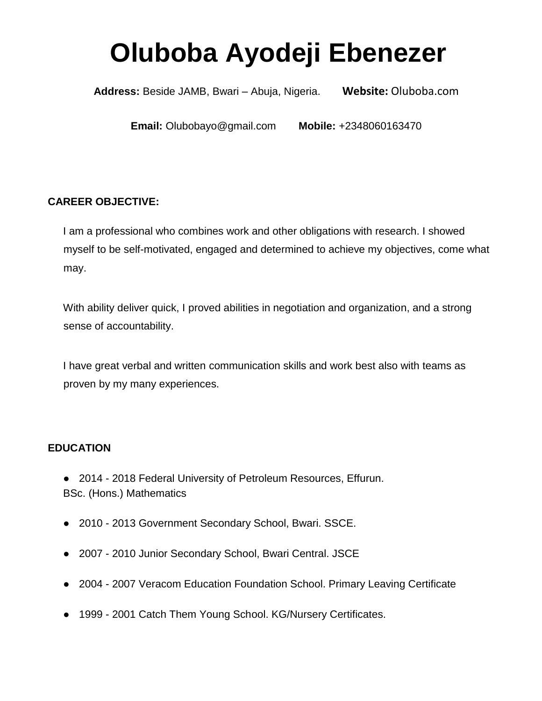# **Oluboba Ayodeji Ebenezer**

**Address:** Beside JAMB, Bwari – Abuja, Nigeria. **Website:** Oluboba.com

**Email:** Olubobayo@gmail.com **Mobile:** +2348060163470

# **CAREER OBJECTIVE:**

I am a professional who combines work and other obligations with research. I showed myself to be self-motivated, engaged and determined to achieve my objectives, come what may.

With ability deliver quick, I proved abilities in negotiation and organization, and a strong sense of accountability.

I have great verbal and written communication skills and work best also with teams as proven by my many experiences.

## **EDUCATION**

- 2014 2018 Federal University of Petroleum Resources, Effurun. BSc. (Hons.) Mathematics
- 2010 2013 Government Secondary School, Bwari. SSCE.
- 2007 2010 Junior Secondary School, Bwari Central. JSCE
- 2004 2007 Veracom Education Foundation School. Primary Leaving Certificate
- 1999 2001 Catch Them Young School. KG/Nursery Certificates.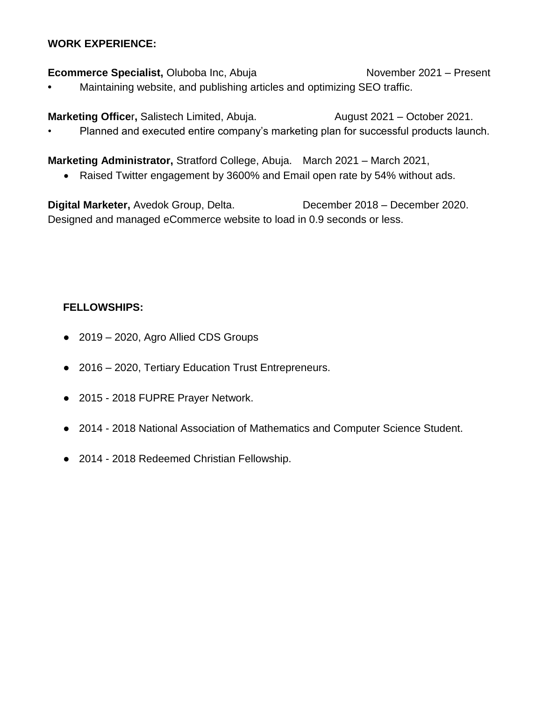#### **WORK EXPERIENCE:**

**Ecommerce Specialist, Oluboba Inc, Abuja November 2021 – Present •** Maintaining website, and publishing articles and optimizing SEO traffic.

**Marketing Officer, Salistech Limited, Abuja. August 2021 – October 2021.** • Planned and executed entire company's marketing plan for successful products launch.

**Marketing Administrator,** Stratford College, Abuja. March 2021 – March 2021,

Raised Twitter engagement by 3600% and Email open rate by 54% without ads.

**Digital Marketer,** Avedok Group, Delta. December 2018 – December 2020. Designed and managed eCommerce website to load in 0.9 seconds or less.

## **FELLOWSHIPS:**

- 2019 2020, Agro Allied CDS Groups
- 2016 2020, Tertiary Education Trust Entrepreneurs.
- 2015 2018 FUPRE Prayer Network.
- 2014 2018 National Association of Mathematics and Computer Science Student.
- 2014 2018 Redeemed Christian Fellowship.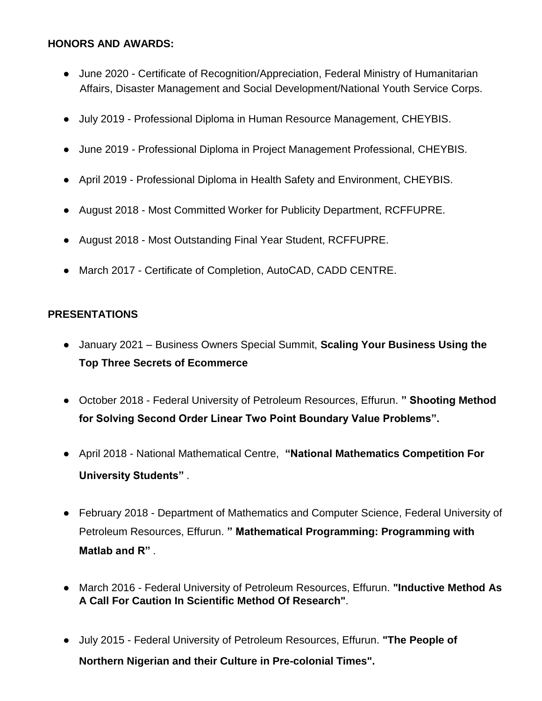#### **HONORS AND AWARDS:**

- June 2020 Certificate of Recognition/Appreciation, Federal Ministry of Humanitarian Affairs, Disaster Management and Social Development/National Youth Service Corps.
- July 2019 Professional Diploma in Human Resource Management, CHEYBIS.
- June 2019 Professional Diploma in Project Management Professional, CHEYBIS.
- April 2019 Professional Diploma in Health Safety and Environment, CHEYBIS.
- August 2018 Most Committed Worker for Publicity Department, RCFFUPRE.
- August 2018 Most Outstanding Final Year Student, RCFFUPRE.
- March 2017 Certificate of Completion, AutoCAD, CADD CENTRE.

## **PRESENTATIONS**

- January 2021 Business Owners Special Summit, **Scaling Your Business Using the Top Three Secrets of Ecommerce**
- October 2018 Federal University of Petroleum Resources, Effurun. **" Shooting Method for Solving Second Order Linear Two Point Boundary Value Problems".**
- April 2018 National Mathematical Centre, **"National Mathematics Competition For University Students"** .
- February 2018 Department of Mathematics and Computer Science, Federal University of Petroleum Resources, Effurun. **" Mathematical Programming: Programming with Matlab and R"** .
- March 2016 Federal University of Petroleum Resources, Effurun. **"Inductive Method As A Call For Caution In Scientific Method Of Research"**.
- July 2015 Federal University of Petroleum Resources, Effurun. **"The People of Northern Nigerian and their Culture in Pre-colonial Times".**